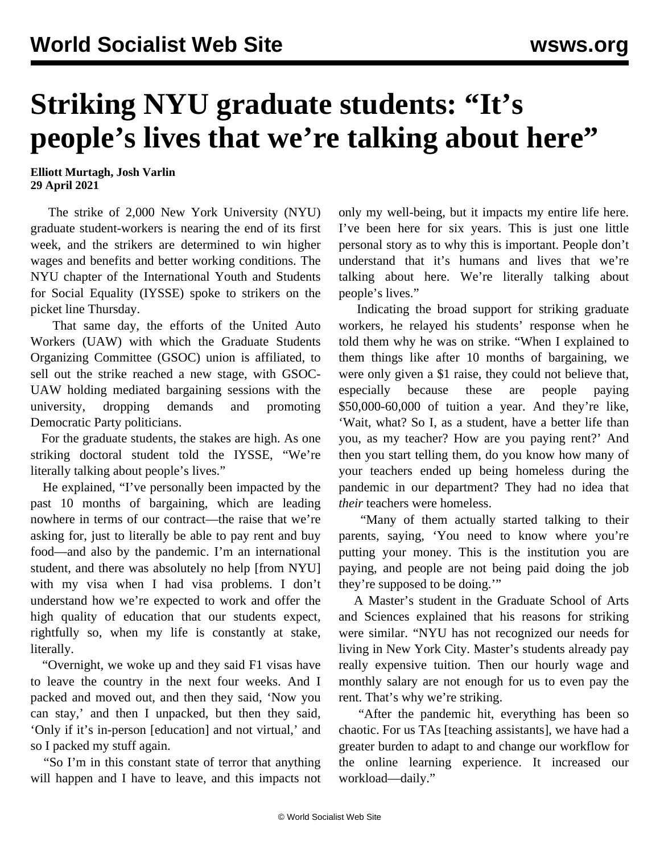## **Striking NYU graduate students: "It's people's lives that we're talking about here"**

**Elliott Murtagh, Josh Varlin 29 April 2021**

 The strike of 2,000 New York University (NYU) graduate student-workers is nearing the end of its first week, and the strikers are determined to win higher wages and benefits and better working conditions. The NYU chapter of the International Youth and Students for Social Equality (IYSSE) spoke to strikers on the picket line Thursday.

 That same day, the efforts of the United Auto Workers (UAW) with which the Graduate Students Organizing Committee (GSOC) union is affiliated, to sell out the strike reached a new stage, with GSOC-UAW holding mediated bargaining sessions with the university, dropping demands and promoting Democratic Party politicians.

 For the graduate students, the stakes are high. As one striking doctoral student told the IYSSE, "We're literally talking about people's lives."

 He explained, "I've personally been impacted by the past 10 months of bargaining, which are leading nowhere in terms of our contract—the raise that we're asking for, just to literally be able to pay rent and buy food—and also by the pandemic. I'm an international student, and there was absolutely no help [from NYU] with my visa when I had visa problems. I don't understand how we're expected to work and offer the high quality of education that our students expect, rightfully so, when my life is constantly at stake, literally.

 "Overnight, we woke up and they said F1 visas have to leave the country in the next four weeks. And I packed and moved out, and then they said, 'Now you can stay,' and then I unpacked, but then they said, 'Only if it's in-person [education] and not virtual,' and so I packed my stuff again.

 "So I'm in this constant state of terror that anything will happen and I have to leave, and this impacts not only my well-being, but it impacts my entire life here. I've been here for six years. This is just one little personal story as to why this is important. People don't understand that it's humans and lives that we're talking about here. We're literally talking about people's lives."

 Indicating the broad support for striking graduate workers, he relayed his students' response when he told them why he was on strike. "When I explained to them things like after 10 months of bargaining, we were only given a \$1 raise, they could not believe that, especially because these are people paying \$50,000-60,000 of tuition a year. And they're like, 'Wait, what? So I, as a student, have a better life than you, as my teacher? How are you paying rent?' And then you start telling them, do you know how many of your teachers ended up being homeless during the pandemic in our department? They had no idea that *their* teachers were homeless.

 "Many of them actually started talking to their parents, saying, 'You need to know where you're putting your money. This is the institution you are paying, and people are not being paid doing the job they're supposed to be doing.'"

 A Master's student in the Graduate School of Arts and Sciences explained that his reasons for striking were similar. "NYU has not recognized our needs for living in New York City. Master's students already pay really expensive tuition. Then our hourly wage and monthly salary are not enough for us to even pay the rent. That's why we're striking.

 "After the pandemic hit, everything has been so chaotic. For us TAs [teaching assistants], we have had a greater burden to adapt to and change our workflow for the online learning experience. It increased our workload—daily."